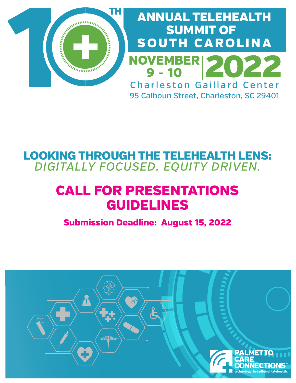

# ANNUAL TELEHEALTH SUMMIT OF SOUTH CAROLINA **NOVEMBER**  $9 - 10$ Charleston Gaillard Center 95 Calhoun Street, Charleston, SC 29401

# LOOKING THROUGH THE TELEHEALTH LENS: *DIGITALLY FOCUSED. EQUITY DRIVEN.*

# CALL FOR PRESENTATIONS GUIDELINES

Submission Deadline: August 15, 2022

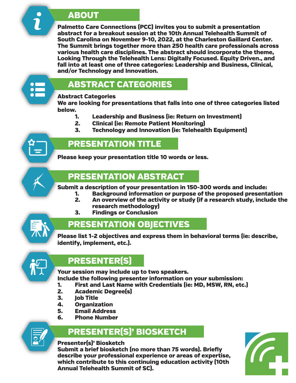### ABOUT

Palmetto Care Connections (PCC) invites you to submit a presentation abstract for a breakout session at the 10th Annual Telehealth Summit of South Carolina on November 9-10, 2022, at the Charleston Gaillard Center. The Summit brings together more than 250 health care professionals across various health care disciplines. The abstract should incorporate the theme, Looking Through the Telehealth Lens: Digitally Focused. Equity Driven., and fall into at least one of three categories: Leadership and Business, Clinical, and/or Technology and Innovation.



## ABSTRACT CATEGORIES

#### Abstract Categories

We are looking for presentations that falls into one of three categories listed below.

- 1. Leadership and Business (ie: Return on Investment)
- 2. Clinical (ie: Remote Patient Monitoring)
- 3. Technology and Innovation (ie: Telehealth Equipment)



## PRESENTATION TITLE

Please keep your presentation title 10 words or less.

## PRESENTATION ABSTRACT

Submit a description of your presentation in 150-300 words and include:

- 1. Background information or purpose of the proposed presentation<br>2. An overview of the activity or study (if a research study, include th
- 2. An overview of the activity or study (if a research study, include the research methodology)<br>3. Findings or Conclusion
- 3. Findings or Conclusion



## PRESENTATION OBJECTIVES

Please list 1-2 objectives and express them in behavioral terms (ie: describe, identify, implement, etc.).



## PRESENTER(S)

Your session may include up to two speakers. Include the following presenter information on your submission:

- 1. First and Last Name with Credentials (ie: MD, MSW, RN, etc.)
- 2. Academic Degree(s)<br>3. Iob Title
- 3. Job Title
- **4.** Organization<br>5. Email Address
- 5. Email Address<br>6. Phone Number
- **Phone Number**

## PRESENTER(S)' BIOSKETCH

#### Presenter(s)' Biosketch

Submit a brief biosketch (no more than 75 words). Briefly describe your professional experience or areas of expertise, which contribute to this continuing education activity (10th Annual Telehealth Summit of SC).